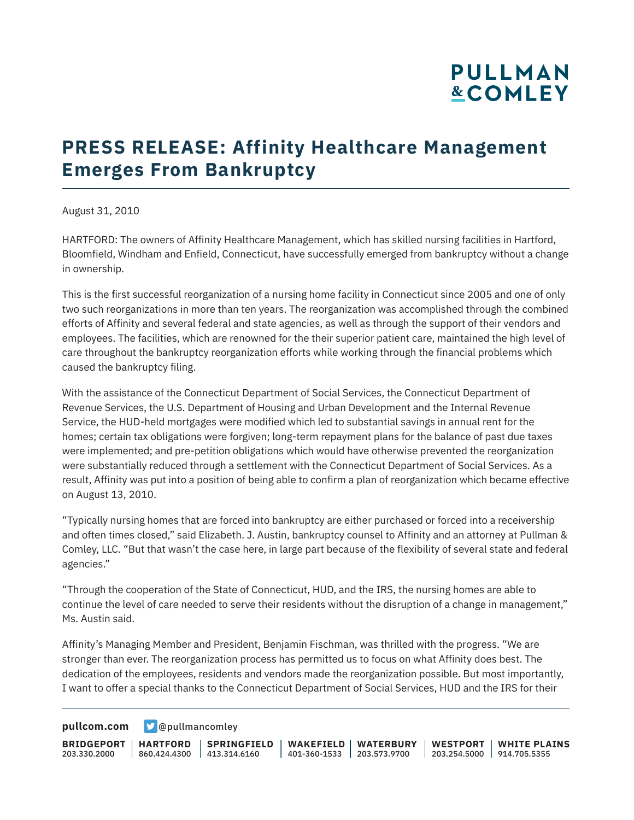# **PULLMAN &COMLEY**

## **PRESS RELEASE: Affinity Healthcare Management Emerges From Bankruptcy**

August 31, 2010

HARTFORD: The owners of Affinity Healthcare Management, which has skilled nursing facilities in Hartford, Bloomfield, Windham and Enfield, Connecticut, have successfully emerged from bankruptcy without a change in ownership.

This is the first successful reorganization of a nursing home facility in Connecticut since 2005 and one of only two such reorganizations in more than ten years. The reorganization was accomplished through the combined efforts of Affinity and several federal and state agencies, as well as through the support of their vendors and employees. The facilities, which are renowned for the their superior patient care, maintained the high level of care throughout the bankruptcy reorganization efforts while working through the financial problems which caused the bankruptcy filing.

With the assistance of the Connecticut Department of Social Services, the Connecticut Department of Revenue Services, the U.S. Department of Housing and Urban Development and the Internal Revenue Service, the HUD-held mortgages were modified which led to substantial savings in annual rent for the homes; certain tax obligations were forgiven; long-term repayment plans for the balance of past due taxes were implemented; and pre-petition obligations which would have otherwise prevented the reorganization were substantially reduced through a settlement with the Connecticut Department of Social Services. As a result, Affinity was put into a position of being able to confirm a plan of reorganization which became effective on August 13, 2010.

"Typically nursing homes that are forced into bankruptcy are either purchased or forced into a receivership and often times closed," said Elizabeth. J. Austin, bankruptcy counsel to Affinity and an attorney at Pullman & Comley, LLC. "But that wasn't the case here, in large part because of the flexibility of several state and federal agencies."

"Through the cooperation of the State of Connecticut, HUD, and the IRS, the nursing homes are able to continue the level of care needed to serve their residents without the disruption of a change in management," Ms. Austin said.

Affinity's Managing Member and President, Benjamin Fischman, was thrilled with the progress. "We are stronger than ever. The reorganization process has permitted us to focus on what Affinity does best. The dedication of the employees, residents and vendors made the reorganization possible. But most importantly, I want to offer a special thanks to the Connecticut Department of Social Services, HUD and the IRS for their

**[pullcom.com](https://www.pullcom.com) g** [@pullmancomley](https://twitter.com/PullmanComley)

**BRIDGEPORT HARTFORD** 203.330.2000 860.424.4300 413.314.6160 **SPRINGFIELD WAKEFIELD WATERBURY** 401-360-1533 203.573.9700 **WESTPORT WHITE PLAINS** 203.254.5000 914.705.5355